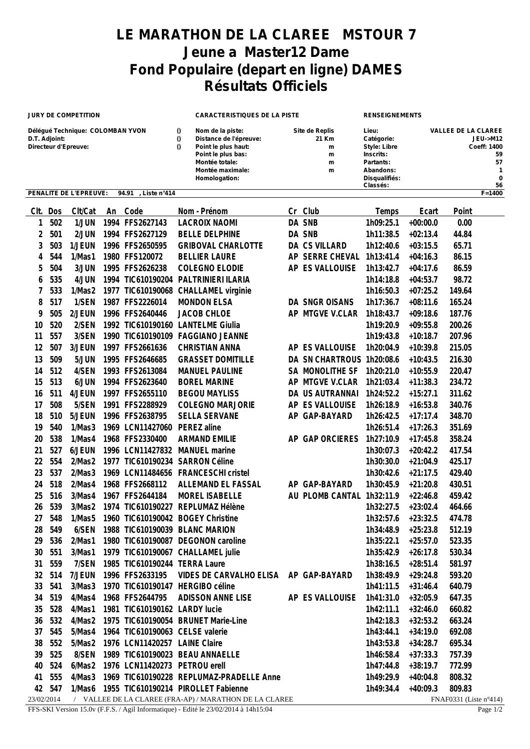## **LE MARATHON DE LA CLAREE MSTOUR 7 Jeune a Master12 Dame Fond Populaire (depart en ligne) DAMES Résultats Officiels**

| <b>JURY DE COMPETITION</b>                                                |            |                        |      |                                   | <b>CARACTERISTIQUES DE LA PISTE</b>                    |                                                                                                                                                |    |                                             | <b>RENSEIGNEMENTS</b>                                                                                   |                                                                 |                  |  |
|---------------------------------------------------------------------------|------------|------------------------|------|-----------------------------------|--------------------------------------------------------|------------------------------------------------------------------------------------------------------------------------------------------------|----|---------------------------------------------|---------------------------------------------------------------------------------------------------------|-----------------------------------------------------------------|------------------|--|
| Délégué Technique: COLOMBAN YVON<br>D.T. Adjoint:<br>Directeur d'Epreuve: |            |                        |      |                                   |                                                        | Nom de la piste:<br>Distance de l'épreuve:<br>Point le plus haut:<br>Point le plus bas:<br>Montée totale:<br>Montée maximale:<br>Homologation: |    | Site de Replis<br>21 Km<br>m<br>m<br>m<br>m | Lieu:<br>Catégorie:<br>Style: Libre<br>Inscrits:<br>Partants:<br>Abandons:<br>Disqualifiés:<br>Classés: | <b>VALLEE DE LA CLAREE</b><br><b>JEU-&gt;M12</b><br>Coeff: 1400 |                  |  |
|                                                                           |            | PENALITE DE L'EPREUVE: |      | 94.91<br>Liste n°414              |                                                        |                                                                                                                                                |    |                                             |                                                                                                         |                                                                 | $F = 1400$       |  |
| CIt.                                                                      | Dos        | Clt/Cat                |      | An Code                           |                                                        | Nom - Prénom                                                                                                                                   | Cr | Club                                        | Temps                                                                                                   | Ecart                                                           | Point            |  |
| 1                                                                         | 502        | 1/JUN                  |      | 1994 FFS2627143                   |                                                        | <b>LACROIX NAOMI</b>                                                                                                                           |    | DA SNB                                      | 1h09:25.1                                                                                               | $+00:00.0$                                                      | 0.00             |  |
| $\overline{c}$                                                            | 501        | 2/JUN                  |      | 1994 FFS2627129                   |                                                        | <b>BELLE DELPHINE</b>                                                                                                                          |    | DA SNB                                      | 1h11:38.5                                                                                               | $+02:13.4$                                                      | 44.84            |  |
| 3                                                                         | 503        | 1/JEUN                 |      | 1996 FFS2650595                   |                                                        | <b>GRIBOVAL CHARLOTTE</b>                                                                                                                      |    | DA CS VILLARD                               | 1h12:40.6                                                                                               | $+03:15.5$                                                      | 65.71            |  |
| 4                                                                         | 544        | 1/Mas1                 |      | 1980 FFS120072                    |                                                        | <b>BELLIER LAURE</b>                                                                                                                           |    | AP SERRE CHEVAL                             | 1h13:41.4                                                                                               | $+04:16.3$                                                      | 86.15            |  |
| 5                                                                         | 504        | 3/JUN                  |      | 1995 FFS2626238                   |                                                        | <b>COLEGNO ELODIE</b>                                                                                                                          |    | AP ES VALLOUISE                             | 1h13:42.7                                                                                               | $+04:17.6$                                                      | 86.59            |  |
| 6                                                                         | 535        | 4/JUN                  |      | 1994 TIC610190204                 |                                                        | PALTRINIERI ILARIA                                                                                                                             |    |                                             | 1h14:18.8                                                                                               | $+04:53.7$                                                      | 98.72            |  |
| 7                                                                         | 533        | 1/Mas2                 | 1977 | TIC610190068                      |                                                        | CHALLAMEL virginie                                                                                                                             |    |                                             | 1h16:50.3                                                                                               | $+07:25.2$                                                      | 149.64           |  |
| 8                                                                         | 517        | 1/SEN                  |      | 1987 FFS2226014                   |                                                        | <b>MONDON ELSA</b>                                                                                                                             |    | DA SNGR OISANS                              | 1h17:36.7                                                                                               | $+08:11.6$                                                      | 165.24           |  |
| 9                                                                         | 505        | 2/JEUN                 |      | 1996 FFS2640446                   |                                                        | <b>JACOB CHLOE</b>                                                                                                                             |    | AP MTGVE V.CLAR                             | 1h18:43.7                                                                                               | $+09:18.6$                                                      | 187.76           |  |
| 10                                                                        | 520        | 2/SEN                  |      | 1992 TIC610190160                 |                                                        | <b>LANTELME Giulia</b>                                                                                                                         |    |                                             | 1h19:20.9                                                                                               | $+09:55.8$                                                      | 200.26           |  |
| 11                                                                        | 557        | 3/SEN                  |      | 1990 TIC610190109                 |                                                        | <b>FAGGIANO JEANNE</b>                                                                                                                         |    |                                             | 1h19:43.8                                                                                               | $+10:18.7$                                                      | 207.96           |  |
| 12                                                                        | 507        | 3/JEUN                 |      | 1997 FFS2661636                   |                                                        | <b>CHRISTIAN ANNA</b>                                                                                                                          |    | AP ES VALLOUISE                             | 1h20:04.9                                                                                               | $+10:39.8$                                                      | 215.05           |  |
| 13                                                                        | 509        | 5/JUN                  |      | 1995 FFS2646685                   |                                                        | <b>GRASSET DOMITILLE</b>                                                                                                                       |    | DA SN CHARTROUS 1h20:08.6                   |                                                                                                         | $+10:43.5$                                                      | 216.30           |  |
| 14                                                                        | 512        | 4/SEN                  |      | 1993 FFS2613084                   |                                                        | <b>MANUEL PAULINE</b>                                                                                                                          |    | SA MONOLITHE SF                             | 1h20:21.0                                                                                               | $+10:55.9$                                                      | 220.47           |  |
| 15                                                                        | 513        | 6/JUN                  |      | 1994 FFS2623640                   |                                                        | <b>BOREL MARINE</b>                                                                                                                            |    | AP MTGVE V.CLAR                             | 1h21:03.4                                                                                               | $+11:38.3$                                                      | 234.72           |  |
| 16                                                                        | 511        | 4/JEUN                 |      | 1997 FFS2655110                   |                                                        | <b>BEGOU MAYLISS</b>                                                                                                                           |    | DA US AUTRANNAI                             | 1h24:52.2                                                                                               | $+15:27.1$                                                      | 311.62           |  |
| 17                                                                        | 508        | 5/SEN                  |      | 1991 FFS2288929                   |                                                        | <b>COLEGNO MARJORIE</b>                                                                                                                        |    | AP ES VALLOUISE                             | 1h26:18.9                                                                                               | $+16:53.8$                                                      | 340.76           |  |
| 18                                                                        | 510        | 5/JEUN                 |      | 1996 FFS2638795                   |                                                        | <b>SELLA SERVANE</b>                                                                                                                           | AP | GAP-BAYARD                                  | 1h26:42.5                                                                                               | $+17:17.4$                                                      | 348.70           |  |
| 19                                                                        | 540        | 1/Mas3                 |      | 1969 LCN11427060                  |                                                        | PEREZ aline                                                                                                                                    |    |                                             | 1h26:51.4                                                                                               | $+17:26.3$                                                      | 351.69           |  |
| 20                                                                        | 538        | 1/Mas4                 |      | 1968 FFS2330400                   |                                                        | <b>ARMAND EMILIE</b>                                                                                                                           |    | AP GAP ORCIERES                             | 1h27:10.9                                                                                               | $+17:45.8$                                                      | 358.24           |  |
| 21                                                                        | 527        | 6/JEUN                 |      | 1996 LCN11427832                  |                                                        | <b>MANUEL</b> marine                                                                                                                           |    |                                             | 1h30:07.3                                                                                               | $+20:42.2$                                                      | 417.54           |  |
| 22                                                                        | 554        | 2/Mas2                 |      | 1977 TIC610190234                 |                                                        | <b>SARRON Céline</b>                                                                                                                           |    |                                             | 1h30:30.0                                                                                               | $+21:04.9$                                                      | 425.17           |  |
| 23                                                                        | 537        | 2/Mas3                 |      | 1969 LCN11484656                  |                                                        | <b>FRANCESCHI cristel</b>                                                                                                                      |    |                                             | 1h30:42.6                                                                                               | $+21:17.5$                                                      | 429.40           |  |
| 24                                                                        | 518        | 2/Mas4                 |      | 1968 FFS2668112                   |                                                        | ALLEMAND EL FASSAL                                                                                                                             |    | AP GAP-BAYARD                               | 1h30:45.9                                                                                               | $+21:20.8$                                                      | 430.51           |  |
| 25                                                                        | 516        | 3/Mas4                 |      | 1967 FFS2644184                   |                                                        | <b>MOREL ISABELLE</b>                                                                                                                          |    | AU PLOMB CANTAL 1h32:11.9                   |                                                                                                         | $+22:46.8$                                                      | 459.42           |  |
| 26                                                                        | 539        | 3/Mas2                 |      |                                   |                                                        | 1974 TIC610190227 REPLUMAZ Hélène                                                                                                              |    |                                             | 1h32:27.5                                                                                               | $+23:02.4$                                                      | 464.66           |  |
| 27                                                                        | 548        | 1/Mas5                 |      | 1960 TIC610190042 BOGEY Christine |                                                        |                                                                                                                                                |    |                                             | 1h32:57.6                                                                                               | $+23:32.5$                                                      | 474.78           |  |
| 28<br>29                                                                  | 549        | 6/SEN                  |      | 1988 TIC610190039 BLANC MARION    |                                                        |                                                                                                                                                |    |                                             | 1h34:48.9                                                                                               | $+25:23.8$                                                      | 512.19           |  |
| 30                                                                        | 536<br>551 | 2/Mas1<br>3/Mas1       |      | 1979 TIC610190067 CHALLAMEL julie |                                                        | 1980 TIC610190087 DEGONON caroline                                                                                                             |    |                                             | 1h35:22.1<br>1h35:42.9                                                                                  | $+25:57.0$<br>$+26:17.8$                                        | 523.35<br>530.34 |  |
| 31                                                                        | 559        | 7/SEN                  |      | 1985 TIC610190244 TERRA Laure     |                                                        |                                                                                                                                                |    |                                             | 1h38:16.5                                                                                               | $+28:51.4$                                                      | 581.97           |  |
| 32                                                                        | 514        | 7/JEUN                 |      | 1996 FFS2633195                   |                                                        | VIDES DE CARVALHO ELISA AP GAP-BAYARD                                                                                                          |    |                                             | 1h38:49.9                                                                                               | $+29:24.8$                                                      | 593.20           |  |
| 33                                                                        | 541        | 3/Mas3                 |      | 1970 TIC610190147 HERGIBO céline  |                                                        |                                                                                                                                                |    |                                             | 1h41:11.5                                                                                               | $+31:46.4$                                                      | 640.79           |  |
| 34                                                                        | 519        | 4/Mas4                 |      | 1968 FFS2644795                   |                                                        | <b>ADISSON ANNE LISE</b>                                                                                                                       |    | AP ES VALLOUISE                             | 1h41:31.0                                                                                               | $+32:05.9$                                                      | 647.35           |  |
| 35                                                                        | 528        | 4/Mas1                 |      | 1981 TIC610190162 LARDY lucie     |                                                        |                                                                                                                                                |    |                                             | 1h42:11.1                                                                                               | $+32:46.0$                                                      | 660.82           |  |
| 36                                                                        | 532        | 4/Mas2                 |      |                                   |                                                        | 1975 TIC610190054 BRUNET Marie-Line                                                                                                            |    |                                             | 1h42:18.3                                                                                               | $+32:53.2$                                                      | 663.24           |  |
| 37                                                                        | 545        | 5/Mas4                 |      | 1964 TIC610190063 CELSE valerie   |                                                        |                                                                                                                                                |    |                                             | 1h43:44.1                                                                                               | $+34:19.0$                                                      | 692.08           |  |
| 38                                                                        | 552        | 5/Mas2                 |      | 1976 LCN11420257 LAINE Claire     |                                                        |                                                                                                                                                |    |                                             | 1h43:53.8                                                                                               | $+34:28.7$                                                      | 695.34           |  |
| 39                                                                        | 525        | 8/SEN                  |      | 1989 TIC610190023 BEAU ANNAELLE   |                                                        |                                                                                                                                                |    |                                             | 1h46:58.4                                                                                               | $+37:33.3$                                                      | 757.39           |  |
| 40                                                                        | 524        | 6/Mas2                 |      | 1976 LCN11420273 PETROU erell     |                                                        |                                                                                                                                                |    |                                             | 1h47:44.8                                                                                               | $+38:19.7$                                                      | 772.99           |  |
| 41                                                                        | 555        | 4/Mas3                 |      |                                   |                                                        | 1969 TIC610190228 REPLUMAZ-PRADELLE Anne                                                                                                       |    |                                             | 1h49:29.9                                                                                               | $+40:04.8$                                                      | 808.32           |  |
|                                                                           | 42 547     |                        |      |                                   |                                                        | 1/Mas6 1955 TIC610190214 PIROLLET Fabienne                                                                                                     |    |                                             | 1h49:34.4                                                                                               | $+40:09.3$                                                      | 809.83           |  |
| 23/02/2014                                                                |            |                        |      |                                   | / VALLEE DE LA CLAREE (FRA-AP) / MARATHON DE LA CLAREE |                                                                                                                                                |    |                                             | FNAF0331 (Liste n°414)                                                                                  |                                                                 |                  |  |